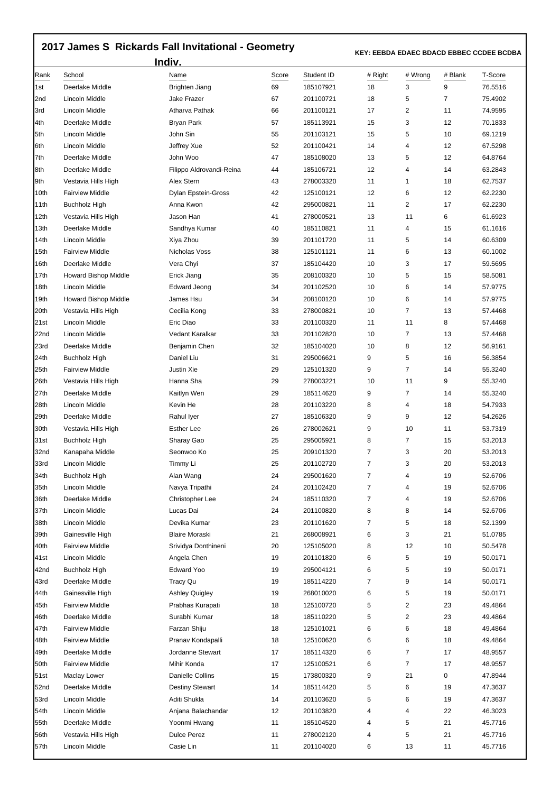## **2017 James S Rickards Fall Invitational - Geometry**

 **KEY: EEBDA EDAEC BDACD EBBEC CCDEE BCDBA** 

| Indiv. |                             |                          |       |            |                |         |         |         |  |  |  |
|--------|-----------------------------|--------------------------|-------|------------|----------------|---------|---------|---------|--|--|--|
| Rank   | School                      | Name                     | Score | Student ID | # Right        | # Wrong | # Blank | T-Score |  |  |  |
| l1st   | Deerlake Middle             | Brighten Jiang           | 69    | 185107921  | 18             | 3       | 9       | 76.5516 |  |  |  |
| 2nd    | Lincoln Middle              | <b>Jake Frazer</b>       | 67    | 201100721  | 18             | 5       | 7       | 75.4902 |  |  |  |
| 3rd    | Lincoln Middle              | Atharva Pathak           | 66    | 201100121  | 17             | 2       | 11      | 74.9595 |  |  |  |
| 4th    | Deerlake Middle             | <b>Bryan Park</b>        | 57    | 185113921  | 15             | 3       | 12      | 70.1833 |  |  |  |
| 5th    | Lincoln Middle              | John Sin                 | 55    | 201103121  | 15             | 5       | 10      | 69.1219 |  |  |  |
| 6th    | Lincoln Middle              | Jeffrey Xue              | 52    | 201100421  | 14             | 4       | 12      | 67.5298 |  |  |  |
| 7th    | Deerlake Middle             | John Woo                 | 47    | 185108020  | 13             | 5       | 12      | 64.8764 |  |  |  |
| 8th    | Deerlake Middle             | Filippo Aldrovandi-Reina | 44    | 185106721  | 12             | 4       | 14      | 63.2843 |  |  |  |
| 9th    | Vestavia Hills High         | Alex Stern               | 43    | 278003320  | 11             | 1       | 18      | 62.7537 |  |  |  |
| 10th   | <b>Fairview Middle</b>      | Dylan Epstein-Gross      | 42    | 125100121  | 12             | 6       | 12      | 62.2230 |  |  |  |
| 11th   | <b>Buchholz High</b>        | Anna Kwon                | 42    | 295000821  | 11             | 2       | 17      | 62.2230 |  |  |  |
| 12th   | Vestavia Hills High         | Jason Han                | 41    | 278000521  | 13             | 11      | 6       | 61.6923 |  |  |  |
| 13th   | Deerlake Middle             | Sandhya Kumar            | 40    | 185110821  | 11             | 4       | 15      | 61.1616 |  |  |  |
| 14th   | Lincoln Middle              | Xiya Zhou                | 39    | 201101720  | 11             | 5       | 14      | 60.6309 |  |  |  |
| 15th   | <b>Fairview Middle</b>      | Nicholas Voss            | 38    | 125101121  | 11             | 6       | 13      | 60.1002 |  |  |  |
| 16th   | Deerlake Middle             | Vera Chyi                | 37    | 185104420  | 10             | 3       | 17      | 59.5695 |  |  |  |
| 17th   | <b>Howard Bishop Middle</b> | Erick Jiang              | 35    | 208100320  | 10             | 5       | 15      | 58.5081 |  |  |  |
| 18th   | Lincoln Middle              | <b>Edward Jeong</b>      | 34    | 201102520  | 10             | 6       | 14      | 57.9775 |  |  |  |
| 19th   | <b>Howard Bishop Middle</b> | James Hsu                | 34    | 208100120  | 10             | 6       | 14      | 57.9775 |  |  |  |
| 20th   | Vestavia Hills High         | Cecilia Kong             | 33    | 278000821  | 10             | 7       | 13      | 57.4468 |  |  |  |
| 21st   | Lincoln Middle              | Eric Diao                | 33    | 201100320  | 11             | 11      | 8       | 57.4468 |  |  |  |
| 22nd   | Lincoln Middle              | Vedant Karalkar          | 33    | 201102820  | 10             | 7       | 13      | 57.4468 |  |  |  |
| 23rd   | Deerlake Middle             | Benjamin Chen            | 32    | 185104020  | 10             | 8       | 12      | 56.9161 |  |  |  |
| 24th   | <b>Buchholz High</b>        | Daniel Liu               | 31    | 295006621  | 9              | 5       | 16      | 56.3854 |  |  |  |
| 25th   | <b>Fairview Middle</b>      | Justin Xie               | 29    | 125101320  | 9              | 7       | 14      | 55.3240 |  |  |  |
| 26th   | Vestavia Hills High         | Hanna Sha                | 29    | 278003221  | 10             | 11      | 9       | 55.3240 |  |  |  |
| 27th   | Deerlake Middle             | Kaitlyn Wen              | 29    | 185114620  | 9              | 7       | 14      | 55.3240 |  |  |  |
| 28th   | Lincoln Middle              | Kevin He                 | 28    | 201103220  | 8              | 4       | 18      | 54.7933 |  |  |  |
| 29th   | Deerlake Middle             | Rahul Iyer               | 27    | 185106320  | 9              | 9       | 12      | 54.2626 |  |  |  |
| 30th   | Vestavia Hills High         | <b>Esther Lee</b>        | 26    | 278002621  | 9              | 10      | 11      | 53.7319 |  |  |  |
| 31st   | Buchholz High               | Sharay Gao               | 25    | 295005921  | 8              | 7       | 15      | 53.2013 |  |  |  |
| 32nd   | Kanapaha Middle             | Seonwoo Ko               | 25    | 209101320  | $\overline{7}$ | 3       | 20      | 53.2013 |  |  |  |
| 33rd   | Lincoln Middle              | Timmy Li                 | 25    | 201102720  | 7              | 3       | 20      | 53.2013 |  |  |  |
| 34th   | <b>Buchholz High</b>        | Alan Wang                | 24    | 295001620  | $\overline{7}$ | 4       | 19      | 52.6706 |  |  |  |
| 35th   | Lincoln Middle              | Navya Tripathi           | 24    | 201102420  | 7              | 4       | 19      | 52.6706 |  |  |  |
| 36th   | Deerlake Middle             | Christopher Lee          | 24    | 185110320  | $\overline{7}$ | 4       | 19      | 52.6706 |  |  |  |
| 37th   | Lincoln Middle              | Lucas Dai                | 24    | 201100820  | 8              | 8       | 14      | 52.6706 |  |  |  |
| 38th   | Lincoln Middle              | Devika Kumar             | 23    | 201101620  | $\overline{7}$ | 5       | 18      | 52.1399 |  |  |  |
| 39th   | Gainesville High            | <b>Blaire Moraski</b>    | 21    | 268008921  | 6              | 3       | 21      | 51.0785 |  |  |  |
| 40th   | <b>Fairview Middle</b>      | Srividya Donthineni      | 20    | 125105020  | 8              | 12      | 10      | 50.5478 |  |  |  |
| 41st   | Lincoln Middle              | Angela Chen              | 19    | 201101820  | 6              | 5       | 19      | 50.0171 |  |  |  |
| 42nd   | <b>Buchholz High</b>        | Edward Yoo               | 19    | 295004121  | 6              | 5       | 19      | 50.0171 |  |  |  |
| 43rd   | Deerlake Middle             | <b>Tracy Qu</b>          | 19    | 185114220  | 7              | 9       | 14      | 50.0171 |  |  |  |
| 44th   | Gainesville High            | Ashley Quigley           | 19    | 268010020  | 6              | 5       | 19      | 50.0171 |  |  |  |
| 45th   | <b>Fairview Middle</b>      | Prabhas Kurapati         | 18    | 125100720  | 5              | 2       | 23      | 49.4864 |  |  |  |
| 46th   | Deerlake Middle             | Surabhi Kumar            | 18    | 185110220  | 5              | 2       | 23      | 49.4864 |  |  |  |
| 47th   | <b>Fairview Middle</b>      | Farzan Shiju             | 18    | 125101021  | 6              | 6       | 18      | 49.4864 |  |  |  |
| 48th   | <b>Fairview Middle</b>      | Pranav Kondapalli        | 18    | 125100620  | 6              | 6       | 18      | 49.4864 |  |  |  |
| 49th   | Deerlake Middle             | Jordanne Stewart         | 17    | 185114320  | 6              | 7       | 17      | 48.9557 |  |  |  |
| 50th   | <b>Fairview Middle</b>      | Mihir Konda              | 17    | 125100521  | 6              | 7       | 17      | 48.9557 |  |  |  |
| 51st   | Maclay Lower                | Danielle Collins         | 15    | 173800320  | 9              | 21      | 0       | 47.8944 |  |  |  |
| 52nd   | Deerlake Middle             | <b>Destiny Stewart</b>   | 14    | 185114420  | 5              | 6       | 19      | 47.3637 |  |  |  |
| 53rd   | Lincoln Middle              | Aditi Shukla             | 14    | 201103620  | 5              | 6       | 19      | 47.3637 |  |  |  |
| 54th   | Lincoln Middle              | Anjana Balachandar       | 12    | 201103820  | 4              | 4       | 22      | 46.3023 |  |  |  |
| 55th   | Deerlake Middle             | Yoonmi Hwang             | 11    | 185104520  | 4              | 5       | 21      | 45.7716 |  |  |  |
| 56th   | Vestavia Hills High         | <b>Dulce Perez</b>       | 11    | 278002120  | 4              | 5       | 21      | 45.7716 |  |  |  |
| 57th   | Lincoln Middle              | Casie Lin                | 11    | 201104020  | 6              | 13      | 11      | 45.7716 |  |  |  |
|        |                             |                          |       |            |                |         |         |         |  |  |  |